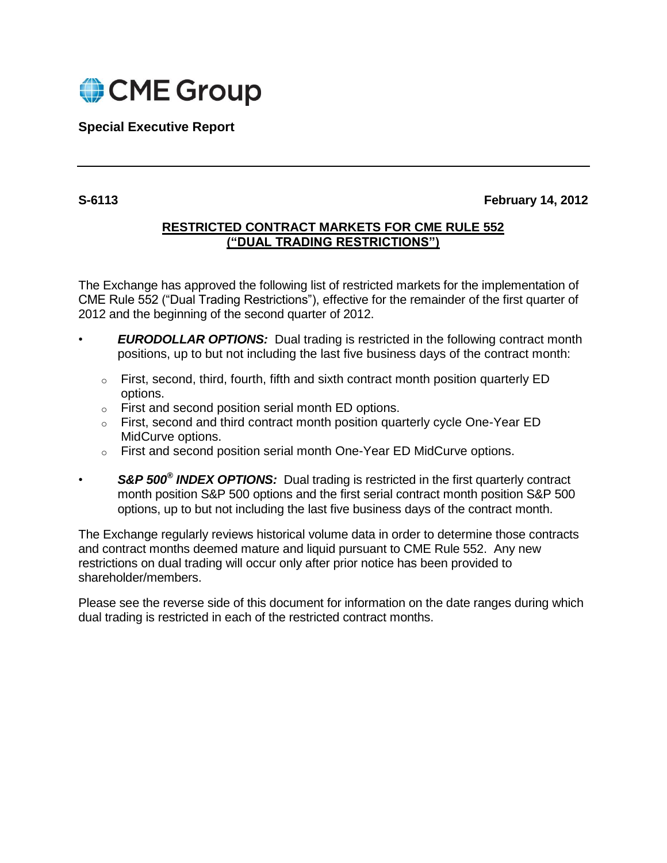

# **Special Executive Report**

### **S-6113 February 14, 2012**

## **RESTRICTED CONTRACT MARKETS FOR CME RULE 552 ("DUAL TRADING RESTRICTIONS")**

The Exchange has approved the following list of restricted markets for the implementation of CME Rule 552 ("Dual Trading Restrictions"), effective for the remainder of the first quarter of 2012 and the beginning of the second quarter of 2012.

- *EURODOLLAR OPTIONS:*Dual trading is restricted in the following contract month positions, up to but not including the last five business days of the contract month:
	- $\circ$  First, second, third, fourth, fifth and sixth contract month position quarterly ED options.
	- o First and second position serial month ED options.
	- $\circ$  First, second and third contract month position quarterly cycle One-Year ED MidCurve options.
	- o First and second position serial month One-Year ED MidCurve options.
- S&P 500<sup>®</sup> INDEX OPTIONS: Dual trading is restricted in the first quarterly contract month position S&P 500 options and the first serial contract month position S&P 500 options, up to but not including the last five business days of the contract month.

The Exchange regularly reviews historical volume data in order to determine those contracts and contract months deemed mature and liquid pursuant to CME Rule 552. Any new restrictions on dual trading will occur only after prior notice has been provided to shareholder/members.

Please see the reverse side of this document for information on the date ranges during which dual trading is restricted in each of the restricted contract months.